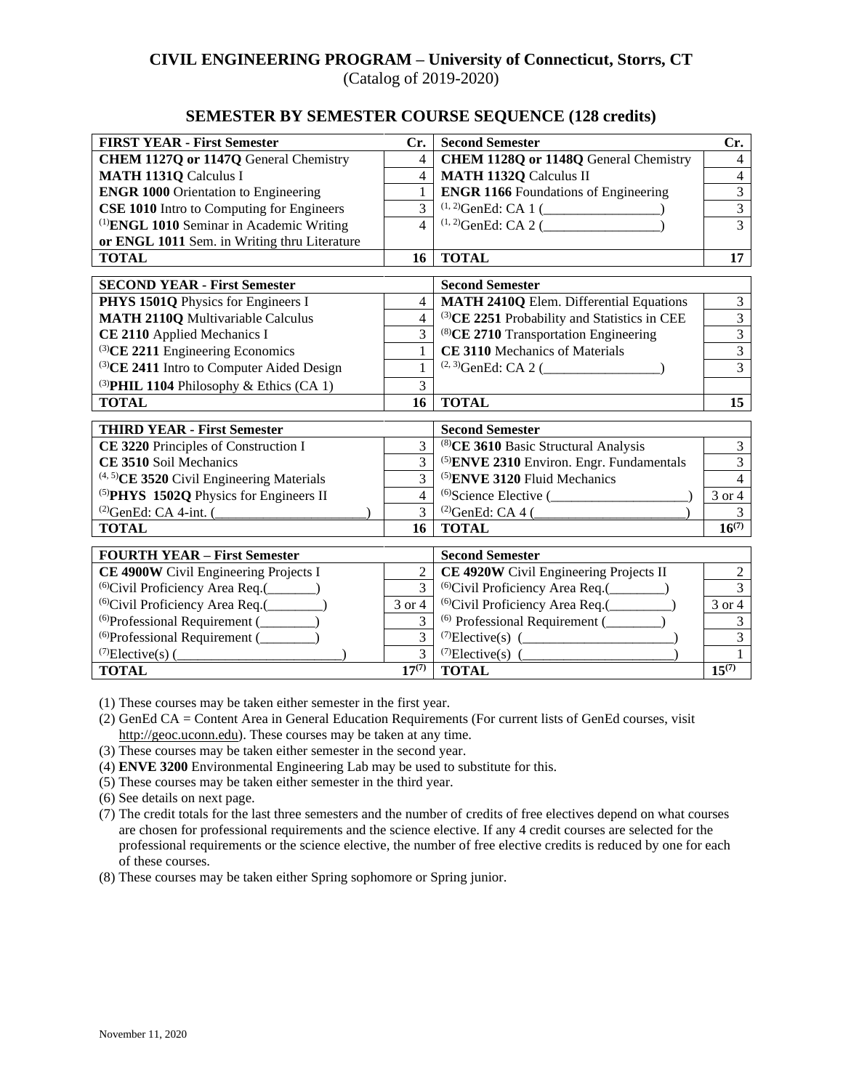#### **CIVIL ENGINEERING PROGRAM – University of Connecticut, Storrs, CT** (Catalog of 2019-2020)

#### **SEMESTER BY SEMESTER COURSE SEQUENCE (128 credits)**

| <b>FIRST YEAR - First Semester</b>                    | Cr.                      | <b>Second Semester</b>                                   | Cr.            |
|-------------------------------------------------------|--------------------------|----------------------------------------------------------|----------------|
| CHEM 1127Q or 1147Q General Chemistry                 | $\overline{4}$           | CHEM 1128Q or 1148Q General Chemistry                    | $\overline{4}$ |
| <b>MATH 1131Q Calculus I</b>                          | $\overline{4}$           | <b>MATH 1132Q Calculus II</b>                            | $\overline{4}$ |
| <b>ENGR 1000 Orientation to Engineering</b>           | 1                        | <b>ENGR 1166</b> Foundations of Engineering              | $\overline{3}$ |
| <b>CSE 1010</b> Intro to Computing for Engineers      | $\overline{3}$           |                                                          | $\overline{3}$ |
| <sup>(1)</sup> ENGL 1010 Seminar in Academic Writing  | $\overline{\mathcal{L}}$ | $(1, 2)$ GenEd: CA 2 (                                   | 3              |
| or ENGL 1011 Sem. in Writing thru Literature          |                          |                                                          |                |
| <b>TOTAL</b>                                          | 16                       | <b>TOTAL</b>                                             | 17             |
|                                                       |                          |                                                          |                |
| <b>SECOND YEAR - First Semester</b>                   |                          | <b>Second Semester</b>                                   |                |
| PHYS 1501Q Physics for Engineers I                    | 4                        | <b>MATH 2410Q Elem. Differential Equations</b>           | $\overline{3}$ |
| <b>MATH 2110Q Multivariable Calculus</b>              | $\overline{4}$           | <sup>(3)</sup> CE 2251 Probability and Statistics in CEE | $\overline{3}$ |
| CE 2110 Applied Mechanics I                           | $\overline{3}$           | <sup>(8)</sup> CE 2710 Transportation Engineering        | $\overline{3}$ |
| (3)CE 2211 Engineering Economics                      | 1                        | CE 3110 Mechanics of Materials                           | $\overline{3}$ |
| <sup>(3)</sup> CE 2411 Intro to Computer Aided Design | 1                        | $^{(2, 3)}$ GenEd: CA 2 (                                | $\overline{3}$ |
| (3) PHIL 1104 Philosophy & Ethics (CA 1)              | $\overline{3}$           |                                                          |                |
| <b>TOTAL</b>                                          | 16                       | <b>TOTAL</b>                                             | 15             |
| <b>THIRD YEAR - First Semester</b>                    |                          | <b>Second Semester</b>                                   |                |
| CE 3220 Principles of Construction I                  | 3                        | <sup>(8)</sup> CE 3610 Basic Structural Analysis         | $\overline{3}$ |
| CE 3510 Soil Mechanics                                | 3                        | <sup>(5)</sup> ENVE 2310 Environ. Engr. Fundamentals     | $\overline{3}$ |
| <sup>(4, 5)</sup> CE 3520 Civil Engineering Materials | 3                        | <sup>(5)</sup> ENVE 3120 Fluid Mechanics                 | $\overline{4}$ |
| <sup>(5)</sup> PHYS 1502Q Physics for Engineers II    | $\overline{4}$           |                                                          | 3 or 4         |
| $^{(2)}$ GenEd: CA 4-int. (                           | $\overline{3}$           | <sup>(2)</sup> GenEd: CA 4 $($                           | 3              |
| <b>TOTAL</b>                                          | 16                       | <b>TOTAL</b>                                             | $16^{(7)}$     |
|                                                       |                          |                                                          |                |
| <b>FOURTH YEAR - First Semester</b>                   |                          | <b>Second Semester</b>                                   |                |
| CE 4900W Civil Engineering Projects I                 | 2                        | CE 4920W Civil Engineering Projects II                   | $\overline{c}$ |
| <sup>(6)</sup> Civil Proficiency Area Req.(_______)   | 3                        | <sup>(6)</sup> Civil Proficiency Area Req.(_________)    | $\overline{3}$ |
| <sup>(6)</sup> Civil Proficiency Area Req.(________)  | 3 or 4                   | <sup>(6)</sup> Civil Proficiency Area Req.(_________     | 3 or 4         |
| $^{(6)}$ Professional Requirement ( $\qquad \qquad$   | $\overline{3}$           | <sup>(6)</sup> Professional Requirement (________)       | $\overline{3}$ |
| <sup>(6)</sup> Professional Requirement (_________    | $\overline{3}$           |                                                          | $\overline{3}$ |
| $^{(7)}$ Elective(s) (                                | $\mathcal{F}$            | <sup>(7)</sup> Elective(s) $($                           |                |
| <b>TOTAL</b>                                          | $17^{(7)}$               | <b>TOTAL</b>                                             | $15^{(7)}$     |

(1) These courses may be taken either semester in the first year.

(2) GenEd CA = Content Area in General Education Requirements (For current lists of GenEd courses, visit [http://geoc.uconn.edu\)](http://geoc.uconn.edu/). These courses may be taken at any time.

(3) These courses may be taken either semester in the second year.

- (4) **ENVE 3200** Environmental Engineering Lab may be used to substitute for this.
- (5) These courses may be taken either semester in the third year.
- (6) See details on next page.
- (7) The credit totals for the last three semesters and the number of credits of free electives depend on what courses are chosen for professional requirements and the science elective. If any 4 credit courses are selected for the professional requirements or the science elective, the number of free elective credits is reduced by one for each of these courses.

(8) These courses may be taken either Spring sophomore or Spring junior.